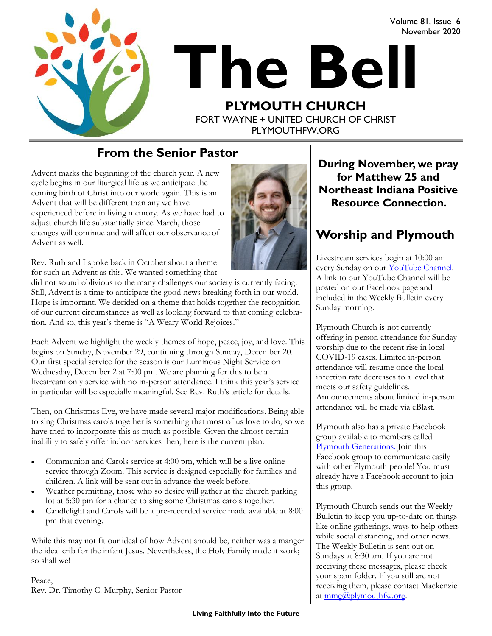Volume 81, Issue 6 November 2020



# **The Bell PLYMOUTH CHURCH** FORT WAYNE + UNITED CHURCH OF CHRIST

PLYMOUTHFW.ORG

**From the Senior Pastor**

Advent marks the beginning of the church year. A new cycle begins in our liturgical life as we anticipate the coming birth of Christ into our world again. This is an Advent that will be different than any we have experienced before in living memory. As we have had to adjust church life substantially since March, those changes will continue and will affect our observance of Advent as well.



Rev. Ruth and I spoke back in October about a theme for such an Advent as this. We wanted something that

did not sound oblivious to the many challenges our society is currently facing. Still, Advent is a time to anticipate the good news breaking forth in our world. Hope is important. We decided on a theme that holds together the recognition of our current circumstances as well as looking forward to that coming celebration. And so, this year's theme is "A Weary World Rejoices."

Each Advent we highlight the weekly themes of hope, peace, joy, and love. This begins on Sunday, November 29, continuing through Sunday, December 20. Our first special service for the season is our Luminous Night Service on Wednesday, December 2 at 7:00 pm. We are planning for this to be a livestream only service with no in-person attendance. I think this year's service in particular will be especially meaningful. See Rev. Ruth's article for details.

Then, on Christmas Eve, we have made several major modifications. Being able to sing Christmas carols together is something that most of us love to do, so we have tried to incorporate this as much as possible. Given the almost certain inability to safely offer indoor services then, here is the current plan:

- Communion and Carols service at 4:00 pm, which will be a live online service through Zoom. This service is designed especially for families and children. A link will be sent out in advance the week before.
- Weather permitting, those who so desire will gather at the church parking lot at 5:30 pm for a chance to sing some Christmas carols together.
- Candlelight and Carols will be a pre-recorded service made available at 8:00 pm that evening.

While this may not fit our ideal of how Advent should be, neither was a manger the ideal crib for the infant Jesus. Nevertheless, the Holy Family made it work; so shall we!

Peace, Rev. Dr. Timothy C. Murphy, Senior Pastor **During November, we pray for Matthew 25 and Northeast Indiana Positive Resource Connection.** 

### **Worship and Plymouth**

Livestream services begin at 10:00 am every Sunday on our YouTube Channel. A link to our YouTube Channel will be posted on our Facebook page and included in the Weekly Bulletin every Sunday morning.

Plymouth Church is not currently offering in-person attendance for Sunday worship due to the recent rise in local COVID-19 cases. Limited in-person attendance will resume once the local infection rate decreases to a level that meets our safety guidelines. Announcements about limited in-person attendance will be made via eBlast.

Plymouth also has a private Facebook group available to members called [Plymouth Generations.](https://www.facebook.com/groups/1487066224952817/) Join this Facebook group to communicate easily with other Plymouth people! You must already have a Facebook account to join this group.

Plymouth Church sends out the Weekly Bulletin to keep you up-to-date on things like online gatherings, ways to help others while social distancing, and other news. The Weekly Bulletin is sent out on Sundays at 8:30 am. If you are not receiving these messages, please check your spam folder. If you still are not receiving them, please contact Mackenzie at [mmg@plymouthfw.org.](mailto:mmg@plymouthfw.org)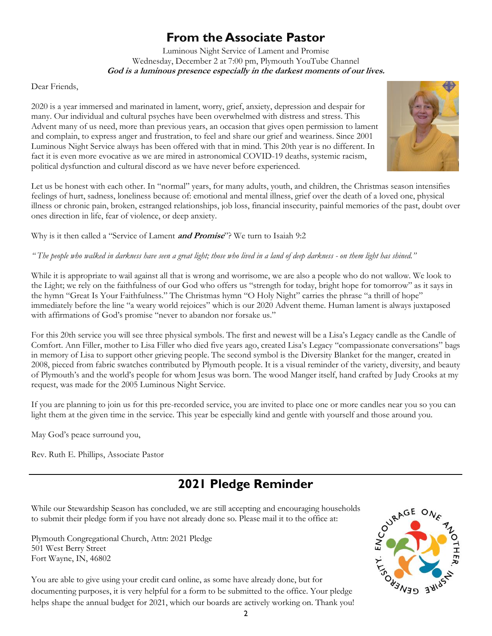### **From the Associate Pastor**

Luminous Night Service of Lament and Promise Wednesday, December 2 at 7:00 pm, Plymouth YouTube Channel **God is a luminous presence especially in the darkest moments of our lives.**

Dear Friends,

2020 is a year immersed and marinated in lament, worry, grief, anxiety, depression and despair for many. Our individual and cultural psyches have been overwhelmed with distress and stress. This Advent many of us need, more than previous years, an occasion that gives open permission to lament and complain, to express anger and frustration, to feel and share our grief and weariness. Since 2001 Luminous Night Service always has been offered with that in mind. This 20th year is no different. In fact it is even more evocative as we are mired in astronomical COVID-19 deaths, systemic racism, political dysfunction and cultural discord as we have never before experienced.



Let us be honest with each other. In "normal" years, for many adults, youth, and children, the Christmas season intensifies feelings of hurt, sadness, loneliness because of: emotional and mental illness, grief over the death of a loved one, physical illness or chronic pain, broken, estranged relationships, job loss, financial insecurity, painful memories of the past, doubt over ones direction in life, fear of violence, or deep anxiety.

Why is it then called a "Service of Lament **and Promise**"? We turn to Isaiah 9:2

" The people who walked in darkness have seen a great light; those who lived in a land of deep darkness - on them light has shined."

While it is appropriate to wail against all that is wrong and worrisome, we are also a people who do not wallow. We look to the Light; we rely on the faithfulness of our God who offers us "strength for today, bright hope for tomorrow" as it says in the hymn "Great Is Your Faithfulness." The Christmas hymn "O Holy Night" carries the phrase "a thrill of hope" immediately before the line "a weary world rejoices" which is our 2020 Advent theme. Human lament is always juxtaposed with affirmations of God's promise "never to abandon nor forsake us."

For this 20th service you will see three physical symbols. The first and newest will be a Lisa's Legacy candle as the Candle of Comfort. Ann Filler, mother to Lisa Filler who died five years ago, created Lisa's Legacy "compassionate conversations" bags in memory of Lisa to support other grieving people. The second symbol is the Diversity Blanket for the manger, created in 2008, pieced from fabric swatches contributed by Plymouth people. It is a visual reminder of the variety, diversity, and beauty of Plymouth's and the world's people for whom Jesus was born. The wood Manger itself, hand crafted by Judy Crooks at my request, was made for the 2005 Luminous Night Service.

If you are planning to join us for this pre-recorded service, you are invited to place one or more candles near you so you can light them at the given time in the service. This year be especially kind and gentle with yourself and those around you.

May God's peace surround you,

Rev. Ruth E. Phillips, Associate Pastor

### **2021 Pledge Reminder**

While our Stewardship Season has concluded, we are still accepting and encouraging households to submit their pledge form if you have not already done so. Please mail it to the office at:

Plymouth Congregational Church, Attn: 2021 Pledge 501 West Berry Street Fort Wayne, IN, 46802



You are able to give using your credit card online, as some have already done, but for documenting purposes, it is very helpful for a form to be submitted to the office. Your pledge helps shape the annual budget for 2021, which our boards are actively working on. Thank you!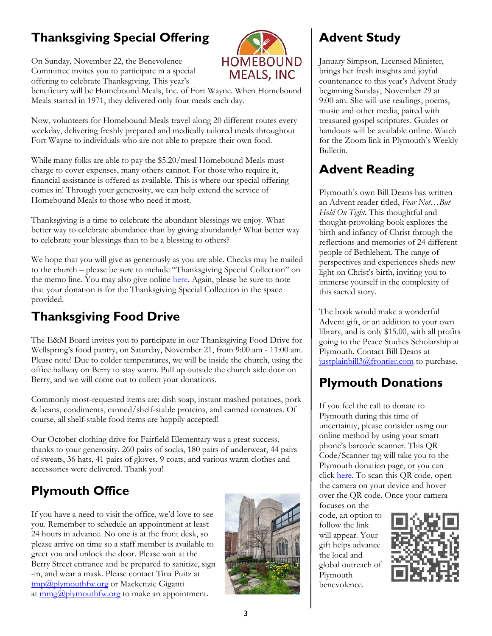# **Thanksgiving Special Offering**

On Sunday, November 22, the Benevolence Committee invites you to participate in a special offering to celebrate Thanksgiving. This year's



beneficiary will be Homebound Meals, Inc. of Fort Wayne. When Homebound Meals started in 1971, they delivered only four meals each day.

Now, volunteers for Homebound Meals travel along 20 different routes every weekday, delivering freshly prepared and medically tailored meals throughout Fort Wayne to individuals who are not able to prepare their own food.

While many folks are able to pay the \$5.20/meal Homebound Meals must charge to cover expenses, many others cannot. For those who require it, financial assistance is offered as available. This is where our special offering comes in! Through your generosity, we can help extend the service of Homebound Meals to those who need it most.

Thanksgiving is a time to celebrate the abundant blessings we enjoy. What better way to celebrate abundance than by giving abundantly? What better way to celebrate your blessings than to be a blessing to others?

We hope that you will give as generously as you are able. Checks may be mailed to the church – please be sure to include "Thanksgiving Special Collection" on the memo line. You may also give online [here.](https://www.eservicepayments.com/cgi-bin/Vanco_ver3.vps?appver3=wWsk24ZWJSTZKsGd1RMKlg0BDvsSG3VIWQCPJNNxD8upkiY7JlDavDsozUE7KG0nFx2NSo8LdUKGuGuF396vbVaiPstRo5nGq-DzvnYb662XHubq5Z7ap5JVmPErc4ZeYHCKCZhESjGNQmZ5B-6dx2HOd3DsUXzGmTYEh8VU7JU=&ver=3) Again, please be sure to note that your donation is for the Thanksgiving Special Collection in the space provided.

### **Thanksgiving Food Drive**

The E&M Board invites you to participate in our Thanksgiving Food Drive for Wellspring's food pantry, on Saturday, November 21, from 9:00 am - 11:00 am. Please note! Due to colder temperatures, we will be inside the church, using the office hallway on Berry to stay warm. Pull up outside the church side door on Berry, and we will come out to collect your donations.

Commonly most-requested items are: dish soap, instant mashed potatoes, pork & beans, condiments, canned/shelf-stable proteins, and canned tomatoes. Of course, all shelf-stable food items are happily accepted!

Our October clothing drive for Fairfield Elementary was a great success, thanks to your generosity. 260 pairs of socks, 180 pairs of underwear, 44 pairs of sweats, 36 hats, 41 pairs of gloves, 9 coats, and various warm clothes and accessories were delivered. Thank you!

### **Plymouth Office**

If you have a need to visit the office, we'd love to see you. Remember to schedule an appointment at least 24 hours in advance. No one is at the front desk, so please arrive on time so a staff member is available to greet you and unlock the door. Please wait at the Berry Street entrance and be prepared to sanitize, sign -in, and wear a mask. Please contact Tina Puitz at [tmp@plymouthfw.org](mailto:tmp@plymouthfw.org) or Mackenzie Giganti at  $\frac{mmg(\partial_t)$  plymouth fw.org to make an appointment.



## **Advent Study**

January Simpson, Licensed Minister, brings her fresh insights and joyful countenance to this year's Advent Study beginning Sunday, November 29 at 9:00 am. She will use readings, poems, music and other media, paired with treasured gospel scriptures. Guides or handouts will be available online. Watch for the Zoom link in Plymouth's Weekly Bulletin.

### **Advent Reading**

Plymouth's own Bill Deans has written an Advent reader titled, *Fear Not…But Hold On Tight.* This thoughtful and thought-provoking book explores the birth and infancy of Christ through the reflections and memories of 24 different people of Bethlehem. The range of perspectives and experiences sheds new light on Christ's birth, inviting you to immerse yourself in the complexity of this sacred story.

The book would make a wonderful Advent gift, or an addition to your own library, and is only \$15.00, with all profits going to the Peace Studies Scholarship at Plymouth. Contact Bill Deans at [justplainbill3@frontier.com](mailto:justplainbill3@frontier.com) to purchase.

### **Plymouth Donations**

If you feel the call to donate to Plymouth during this time of uncertainty, please consider using our online method by using your smart phone's barcode scanner. This QR Code/Scanner tag will take you to the Plymouth donation page, or you can click [here.](https://www.eservicepayments.com/cgi-bin/Vanco_ver3.vps?appver3=wWsk24ZWJSTZKsGd1RMKlg0BDvsSG3VIWQCPJNNxD8upkiY7JlDavDsozUE7KG0nFx2NSo8LdUKGuGuF396vbVaiPstRo5nGq-DzvnYb662XHubq5Z7ap5JVmPErc4ZeYHCKCZhESjGNQmZ5B-6dx2HOd3DsUXzGmTYEh8VU7JU=&ver=3) To scan this QR code, open the camera on your device and hover over the QR code. Once your camera focuses on the

code, an option to follow the link will appear. Your gift helps advance the local and global outreach of Plymouth benevolence.

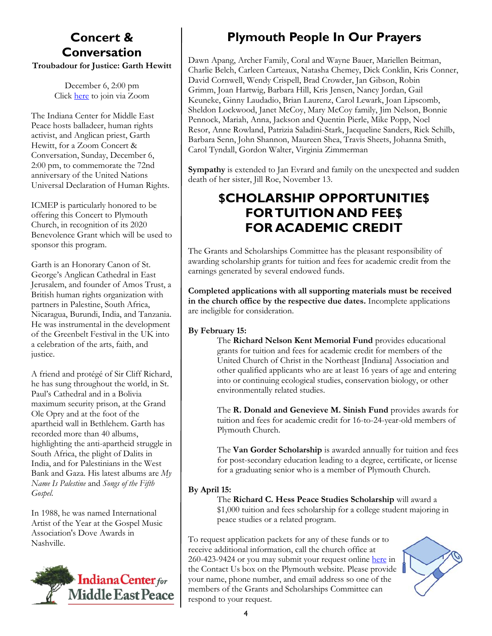### **Concert & Conversation**

**Troubadour for Justice: Garth Hewitt**

December 6, 2:00 pm Click [here](https://us02web.zoom.us/j/87354300960?pwd=KzNRUWl4bWs1NHFsWTc3UmpBZStoQT09) to join via Zoom

The Indiana Center for Middle East Peace hosts balladeer, human rights activist, and Anglican priest, Garth Hewitt, for a Zoom Concert & Conversation, Sunday, December 6, 2:00 pm, to commemorate the 72nd anniversary of the United Nations Universal Declaration of Human Rights.

ICMEP is particularly honored to be offering this Concert to Plymouth Church, in recognition of its 2020 Benevolence Grant which will be used to sponsor this program.

Garth is an Honorary Canon of St. George's Anglican Cathedral in East Jerusalem, and founder of Amos Trust, a British human rights organization with partners in Palestine, South Africa, Nicaragua, Burundi, India, and Tanzania. He was instrumental in the development of the Greenbelt Festival in the UK into a celebration of the arts, faith, and justice.

A friend and protégé of Sir Cliff Richard, he has sung throughout the world, in St. Paul's Cathedral and in a Bolivia maximum security prison, at the Grand Ole Opry and at the foot of the apartheid wall in Bethlehem. Garth has recorded more than 40 albums, highlighting the anti-apartheid struggle in South Africa, the plight of Dalits in India, and for Palestinians in the West Bank and Gaza. His latest albums are *My Name Is Palestine* and *Songs of the Fifth Gospel*.

In 1988, he was named International Artist of the Year at the Gospel Music Association's Dove Awards in Nashville.



# **Plymouth People In Our Prayers**

Dawn Apang, Archer Family, Coral and Wayne Bauer, Mariellen Beitman, Charlie Belch, Carleen Carteaux, Natasha Chemey, Dick Conklin, Kris Conner, David Cornwell, Wendy Crispell, Brad Crowder, Jan Gibson, Robin Grimm, Joan Hartwig, Barbara Hill, Kris Jensen, Nancy Jordan, Gail Keuneke, Ginny Laudadio, Brian Laurenz, Carol Lewark, Joan Lipscomb, Sheldon Lockwood, Janet McCoy, Mary McCoy family, Jim Nelson, Bonnie Pennock, Mariah, Anna, Jackson and Quentin Pierle, Mike Popp, Noel Resor, Anne Rowland, Patrizia Saladini-Stark, Jacqueline Sanders, Rick Schilb, Barbara Senn, John Shannon, Maureen Shea, Travis Sheets, Johanna Smith, Carol Tyndall, Gordon Walter, Virginia Zimmerman

**Sympathy** is extended to Jan Evrard and family on the unexpected and sudden death of her sister, Jill Roe, November 13.

### **\$CHOLARSHIP OPPORTUNITIE\$ FOR TUITION AND FEE\$ FOR ACADEMIC CREDIT**

The Grants and Scholarships Committee has the pleasant responsibility of awarding scholarship grants for tuition and fees for academic credit from the earnings generated by several endowed funds.

**Completed applications with all supporting materials must be received in the church office by the respective due dates.** Incomplete applications are ineligible for consideration.

#### **By February 15:**

The **Richard Nelson Kent Memorial Fund** provides educational grants for tuition and fees for academic credit for members of the United Church of Christ in the Northeast [Indiana] Association and other qualified applicants who are at least 16 years of age and entering into or continuing ecological studies, conservation biology, or other environmentally related studies.

The **R. Donald and Genevieve M. Sinish Fund** provides awards for tuition and fees for academic credit for 16-to-24-year-old members of Plymouth Church.

The **Van Gorder Scholarship** is awarded annually for tuition and fees for post-secondary education leading to a degree, certificate, or license for a graduating senior who is a member of Plymouth Church.

#### **By April 15:**

The **Richard C. Hess Peace Studies Scholarship** will award a \$1,000 tuition and fees scholarship for a college student majoring in peace studies or a related program.

To request application packets for any of these funds or to receive additional information, call the church office at 260-423-9424 or you may submit your request online [here](https://www.plymouthfw.org/contact) in the Contact Us box on the Plymouth website. Please provide your name, phone number, and email address so one of the members of the Grants and Scholarships Committee can respond to your request.

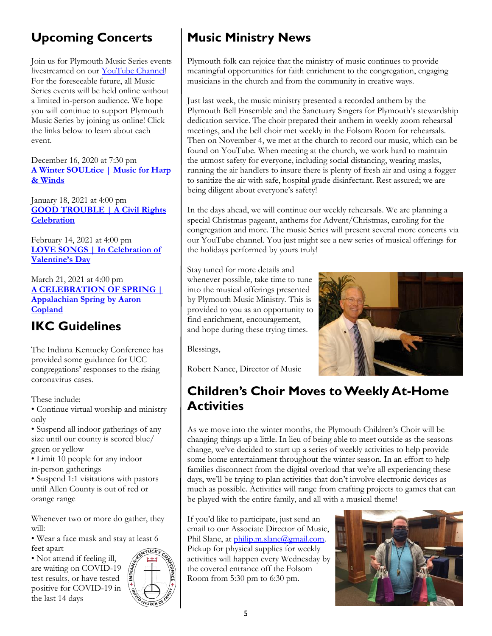# **Upcoming Concerts**

Join us for Plymouth Music Series events livestreamed on our [YouTube Channel!](youtube.com/plymouthchurchfw)  For the foreseeable future, all Music Series events will be held online without a limited in-person audience. We hope you will continue to support Plymouth Music Series by joining us online! Click the links below to learn about each event.

December 16, 2020 at 7:30 pm **[A Winter SOULtice | Music for Harp](https://www.eventbrite.com/e/124274226557)  [& Winds](https://www.eventbrite.com/e/124274226557)**

January 18, 2021 at 4:00 pm **[GOOD TROUBLE | A Civil Rights](https://www.eventbrite.com/e/124276116209)  [Celebration](https://www.eventbrite.com/e/124276116209)**

February 14, 2021 at 4:00 pm **[LOVE SONGS | In Celebration of](https://www.eventbrite.com/e/124276912591)  [Valentine's Day](https://www.eventbrite.com/e/124276912591)**

March 21, 2021 at 4:00 pm **[A CELEBRATION OF SPRING |](https://www.eventbrite.com/e/124277159329)  [Appalachian Spring by Aaron](https://www.eventbrite.com/e/124277159329)  [Copland](https://www.eventbrite.com/e/124277159329)**

### **IKC Guidelines**

The Indiana Kentucky Conference has provided some guidance for UCC congregations' responses to the rising coronavirus cases.

These include:

• Continue virtual worship and ministry only

• Suspend all indoor gatherings of any size until our county is scored blue/ green or yellow

• Limit 10 people for any indoor in-person gatherings

• Suspend 1:1 visitations with pastors until Allen County is out of red or orange range

Whenever two or more do gather, they will:

• Wear a face mask and stay at least 6 feet apart

• Not attend if feeling ill, are waiting on COVID-19 test results, or have tested positive for COVID-19 in the last 14 days



# **Music Ministry News**

Plymouth folk can rejoice that the ministry of music continues to provide meaningful opportunities for faith enrichment to the congregation, engaging musicians in the church and from the community in creative ways.

Just last week, the music ministry presented a recorded anthem by the Plymouth Bell Ensemble and the Sanctuary Singers for Plymouth's stewardship dedication service. The choir prepared their anthem in weekly zoom rehearsal meetings, and the bell choir met weekly in the Folsom Room for rehearsals. Then on November 4, we met at the church to record our music, which can be found on YouTube. When meeting at the church, we work hard to maintain the utmost safety for everyone, including social distancing, wearing masks, running the air handlers to insure there is plenty of fresh air and using a fogger to sanitize the air with safe, hospital grade disinfectant. Rest assured; we are being diligent about everyone's safety!

In the days ahead, we will continue our weekly rehearsals. We are planning a special Christmas pageant, anthems for Advent/Christmas, caroling for the congregation and more. The music Series will present several more concerts via our YouTube channel. You just might see a new series of musical offerings for the holidays performed by yours truly!

Stay tuned for more details and whenever possible, take time to tune into the musical offerings presented by Plymouth Music Ministry. This is provided to you as an opportunity to find enrichment, encouragement, and hope during these trying times.



Blessings,

Robert Nance, Director of Music

### **Children's Choir Moves to Weekly At-Home Activities**

As we move into the winter months, the Plymouth Children's Choir will be changing things up a little. In lieu of being able to meet outside as the seasons change, we've decided to start up a series of weekly activities to help provide some home entertainment throughout the winter season. In an effort to help families disconnect from the digital overload that we're all experiencing these days, we'll be trying to plan activities that don't involve electronic devices as much as possible. Activities will range from crafting projects to games that can be played with the entire family, and all with a musical theme!

If you'd like to participate, just send an email to our Associate Director of Music, Phil Slane, at [philip.m.slane@gmail.com.](mailto:philip.m.slane@gmail.com) Pickup for physical supplies for weekly activities will happen every Wednesday by the covered entrance off the Folsom Room from 5:30 pm to 6:30 pm.

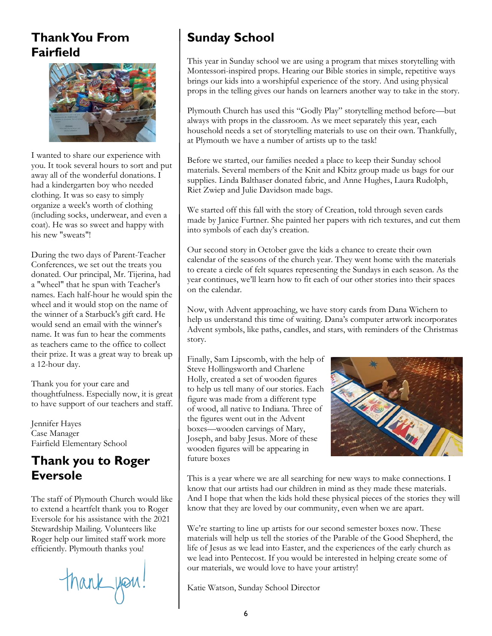### **Thank You From Fairfield**



I wanted to share our experience with you. It took several hours to sort and put away all of the wonderful donations. I had a kindergarten boy who needed clothing. It was so easy to simply organize a week's worth of clothing (including socks, underwear, and even a coat). He was so sweet and happy with his new "sweats"!

During the two days of Parent-Teacher Conferences, we set out the treats you donated. Our principal, Mr. Tijerina, had a "wheel" that he spun with Teacher's names. Each half-hour he would spin the wheel and it would stop on the name of the winner of a Starbuck's gift card. He would send an email with the winner's name. It was fun to hear the comments as teachers came to the office to collect their prize. It was a great way to break up a 12-hour day.

Thank you for your care and thoughtfulness. Especially now, it is great to have support of our teachers and staff.

Jennifer Hayes Case Manager Fairfield Elementary School

### **Thank you to Roger Eversole**

The staff of Plymouth Church would like to extend a heartfelt thank you to Roger Eversole for his assistance with the 2021 Stewardship Mailing. Volunteers like Roger help our limited staff work more efficiently. Plymouth thanks you!

thank you!

## **Sunday School**

This year in Sunday school we are using a program that mixes storytelling with Montessori-inspired props. Hearing our Bible stories in simple, repetitive ways brings our kids into a worshipful experience of the story. And using physical props in the telling gives our hands on learners another way to take in the story.

Plymouth Church has used this "Godly Play" storytelling method before—but always with props in the classroom. As we meet separately this year, each household needs a set of storytelling materials to use on their own. Thankfully, at Plymouth we have a number of artists up to the task!

Before we started, our families needed a place to keep their Sunday school materials. Several members of the Knit and Kbitz group made us bags for our supplies. Linda Balthaser donated fabric, and Anne Hughes, Laura Rudolph, Riet Zwiep and Julie Davidson made bags.

We started off this fall with the story of Creation, told through seven cards made by Janice Furtner. She painted her papers with rich textures, and cut them into symbols of each day's creation.

Our second story in October gave the kids a chance to create their own calendar of the seasons of the church year. They went home with the materials to create a circle of felt squares representing the Sundays in each season. As the year continues, we'll learn how to fit each of our other stories into their spaces on the calendar.

Now, with Advent approaching, we have story cards from Dana Wichern to help us understand this time of waiting. Dana's computer artwork incorporates Advent symbols, like paths, candles, and stars, with reminders of the Christmas story.

Finally, Sam Lipscomb, with the help of Steve Hollingsworth and Charlene Holly, created a set of wooden figures to help us tell many of our stories. Each figure was made from a different type of wood, all native to Indiana. Three of the figures went out in the Advent boxes—wooden carvings of Mary, Joseph, and baby Jesus. More of these wooden figures will be appearing in future boxes



This is a year where we are all searching for new ways to make connections. I know that our artists had our children in mind as they made these materials. And I hope that when the kids hold these physical pieces of the stories they will know that they are loved by our community, even when we are apart.

We're starting to line up artists for our second semester boxes now. These materials will help us tell the stories of the Parable of the Good Shepherd, the life of Jesus as we lead into Easter, and the experiences of the early church as we lead into Pentecost. If you would be interested in helping create some of our materials, we would love to have your artistry!

Katie Watson, Sunday School Director